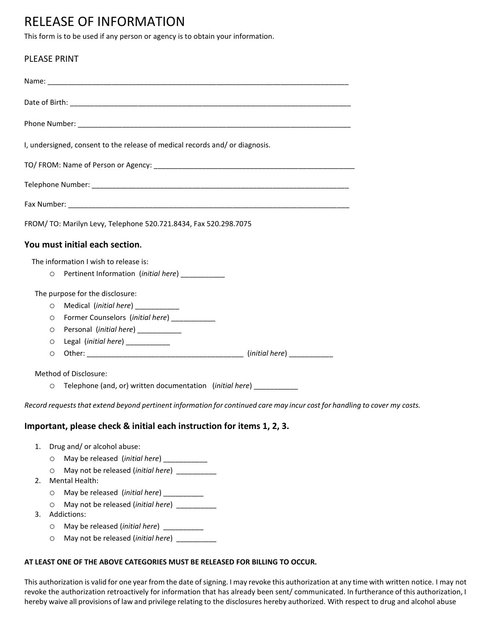## RELEASE OF INFORMATION

This form is to be used if any person or agency is to obtain your information.

## PLEASE PRINT

|    |                             | I, undersigned, consent to the release of medical records and/ or diagnosis.                                               |  |
|----|-----------------------------|----------------------------------------------------------------------------------------------------------------------------|--|
|    |                             |                                                                                                                            |  |
|    |                             |                                                                                                                            |  |
|    |                             |                                                                                                                            |  |
|    |                             | FROM/ TO: Marilyn Levy, Telephone 520.721.8434, Fax 520.298.7075                                                           |  |
|    |                             | You must initial each section.                                                                                             |  |
|    |                             | The information I wish to release is:                                                                                      |  |
|    |                             | O Pertinent Information (initial here) __________                                                                          |  |
|    |                             | The purpose for the disclosure:                                                                                            |  |
|    | $\circ$                     | Medical (initial here) ___________                                                                                         |  |
|    | $\circ$                     | Former Counselors (initial here) ___________                                                                               |  |
|    | O                           | Personal (initial here) ____________                                                                                       |  |
|    | O                           | Legal (initial here) ___________                                                                                           |  |
|    | O                           |                                                                                                                            |  |
|    |                             | Method of Disclosure:                                                                                                      |  |
|    |                             | O Telephone (and, or) written documentation (initial here) __________                                                      |  |
|    |                             | Record requests that extend beyond pertinent information for continued care may incur cost for handling to cover my costs. |  |
|    |                             | Important, please check & initial each instruction for items 1, 2, 3.                                                      |  |
| 1. | Drug and/ or alcohol abuse: |                                                                                                                            |  |
|    |                             | O May be released (initial here) __________                                                                                |  |
| 2. | O                           | Mental Health:                                                                                                             |  |

- o May be released (*initial here*) \_\_\_\_\_\_\_\_\_\_
- o May not be released (*initial here*) \_\_\_\_\_\_\_\_\_\_
- 3. Addictions:
	- o May be released (*initial here*) \_\_\_\_\_\_\_\_\_\_
	- o May not be released (*initial here*) \_\_\_\_\_\_\_\_\_\_

## **AT LEAST ONE OF THE ABOVE CATEGORIES MUST BE RELEASED FOR BILLING TO OCCUR.**

This authorization is valid for one year from the date of signing. I may revoke this authorization at any time with written notice. I may not revoke the authorization retroactively for information that has already been sent/ communicated. In furtherance of this authorization, I hereby waive all provisions of law and privilege relating to the disclosures hereby authorized. With respect to drug and alcohol abuse